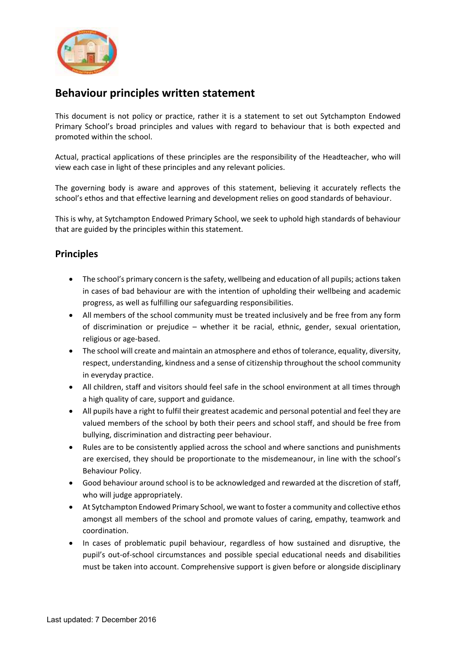

## **Behaviour principles written statement**

This document is not policy or practice, rather it is a statement to set out Sytchampton Endowed Primary School's broad principles and values with regard to behaviour that is both expected and promoted within the school.

Actual, practical applications of these principles are the responsibility of the Headteacher, who will view each case in light of these principles and any relevant policies.

The governing body is aware and approves of this statement, believing it accurately reflects the school's ethos and that effective learning and development relies on good standards of behaviour.

This is why, at Sytchampton Endowed Primary School, we seek to uphold high standards of behaviour that are guided by the principles within this statement.

## **Principles**

- The school's primary concern is the safety, wellbeing and education of all pupils; actions taken in cases of bad behaviour are with the intention of upholding their wellbeing and academic progress, as well as fulfilling our safeguarding responsibilities.
- All members of the school community must be treated inclusively and be free from any form of discrimination or prejudice – whether it be racial, ethnic, gender, sexual orientation, religious or age-based.
- The school will create and maintain an atmosphere and ethos of tolerance, equality, diversity, respect, understanding, kindness and a sense of citizenship throughout the school community in everyday practice.
- All children, staff and visitors should feel safe in the school environment at all times through a high quality of care, support and guidance.
- All pupils have a right to fulfil their greatest academic and personal potential and feel they are valued members of the school by both their peers and school staff, and should be free from bullying, discrimination and distracting peer behaviour.
- Rules are to be consistently applied across the school and where sanctions and punishments are exercised, they should be proportionate to the misdemeanour, in line with the school's Behaviour Policy.
- Good behaviour around school is to be acknowledged and rewarded at the discretion of staff, who will judge appropriately.
- At Sytchampton Endowed Primary School, we want to foster a community and collective ethos amongst all members of the school and promote values of caring, empathy, teamwork and coordination.
- In cases of problematic pupil behaviour, regardless of how sustained and disruptive, the pupil's out-of-school circumstances and possible special educational needs and disabilities must be taken into account. Comprehensive support is given before or alongside disciplinary